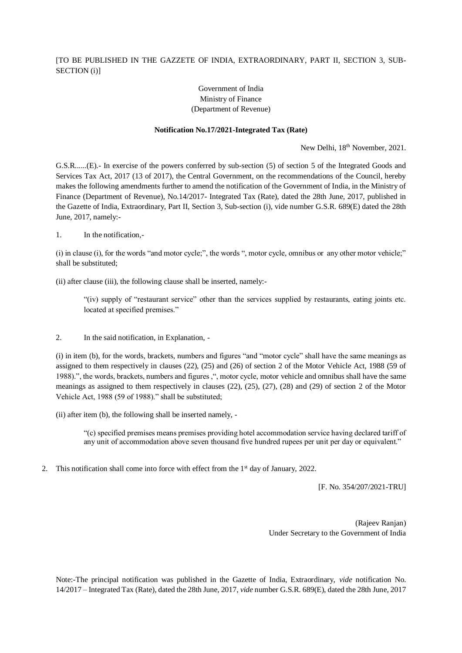## [TO BE PUBLISHED IN THE GAZZETE OF INDIA, EXTRAORDINARY, PART II, SECTION 3, SUB-SECTION (i)]

## Government of India Ministry of Finance (Department of Revenue)

## **Notification No.17/2021-Integrated Tax (Rate)**

New Delhi,  $18<sup>th</sup>$  November, 2021.

G.S.R......(E).- In exercise of the powers conferred by sub-section (5) of section 5 of the Integrated Goods and Services Tax Act, 2017 (13 of 2017), the Central Government, on the recommendations of the Council, hereby makes the following amendments further to amend the notification of the Government of India, in the Ministry of Finance (Department of Revenue), No.14/2017- Integrated Tax (Rate), dated the 28th June, 2017, published in the Gazette of India, Extraordinary, Part II, Section 3, Sub-section (i), vide number G.S.R. 689(E) dated the 28th June, 2017, namely:-

1. In the notification,-

(i) in clause (i), for the words "and motor cycle;", the words ", motor cycle, omnibus or any other motor vehicle;" shall be substituted;

(ii) after clause (iii), the following clause shall be inserted, namely:-

"(iv) supply of "restaurant service" other than the services supplied by restaurants, eating joints etc. located at specified premises."

2. In the said notification, in Explanation, -

(i) in item (b), for the words, brackets, numbers and figures "and "motor cycle" shall have the same meanings as assigned to them respectively in clauses (22), (25) and (26) of section 2 of the Motor Vehicle Act, 1988 (59 of 1988).", the words, brackets, numbers and figures ,", motor cycle, motor vehicle and omnibus shall have the same meanings as assigned to them respectively in clauses (22), (25), (27), (28) and (29) of section 2 of the Motor Vehicle Act, 1988 (59 of 1988)." shall be substituted;

(ii) after item (b), the following shall be inserted namely, -

"(c) specified premises means premises providing hotel accommodation service having declared tariff of any unit of accommodation above seven thousand five hundred rupees per unit per day or equivalent."

2. This notification shall come into force with effect from the 1<sup>st</sup> day of January, 2022.

[F. No. 354/207/2021-TRU]

(Rajeev Ranjan) Under Secretary to the Government of India

Note:-The principal notification was published in the Gazette of India, Extraordinary, *vide* notification No. 14/2017 – Integrated Tax (Rate), dated the 28th June, 2017, *vide* number G.S.R. 689(E), dated the 28th June, 2017